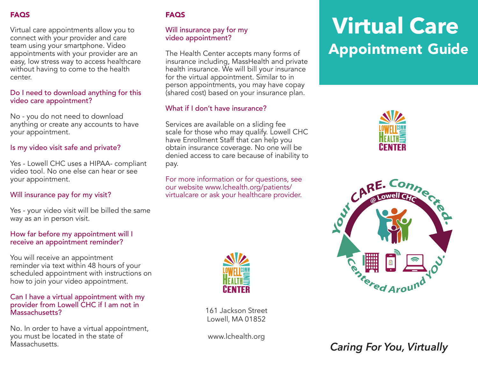#### FAQS

Virtual care appointments allow you to connect with your provider and care team using your smartphone. Video appointments with your provider are an easy, low stress way to access healthcare without having to come to the health center.

#### Do I need to download anything for this video care appointment?

No - you do not need to download anything or create any accounts to have your appointment.

#### Is my video visit safe and private?

Yes - Lowell CHC uses a HIPAA- compliant video tool. No one else can hear or see your appointment.

#### Will insurance pay for my visit?

Yes - your video visit will be billed the same way as an in person visit.

#### How far before my appointment will I receive an appointment reminder?

You will receive an appointment reminder via text within 48 hours of your scheduled appointment with instructions on how to join your video appointment.

#### Can I have a virtual appointment with my provider from Lowell CHC if I am not in Massachusetts?

No. In order to have a virtual appointment, you must be located in the state of Massachusetts.

#### **FAQS**

#### Will insurance pay for my video appointment?

The Health Center accepts many forms of insurance including, MassHealth and private health insurance. We will bill your insurance for the virtual appointment. Similar to in person appointments, you may have copay (shared cost) based on your insurance plan.

#### What if I don't have insurance?

Services are available on a sliding fee scale for those who may qualify. Lowell CHC have Enrollment Staff that can help you obtain insurance coverage. No one will be denied access to care because of inability to pay.

For more information or for questions, see our website www.lchealth.org/patients/ virtualcare or ask your healthcare provider.



161 Jackson Street Lowell, MA 01852

www.lchealth.org

# **Virtual Care Appointment** Guide





*Caring For You, Virtually*